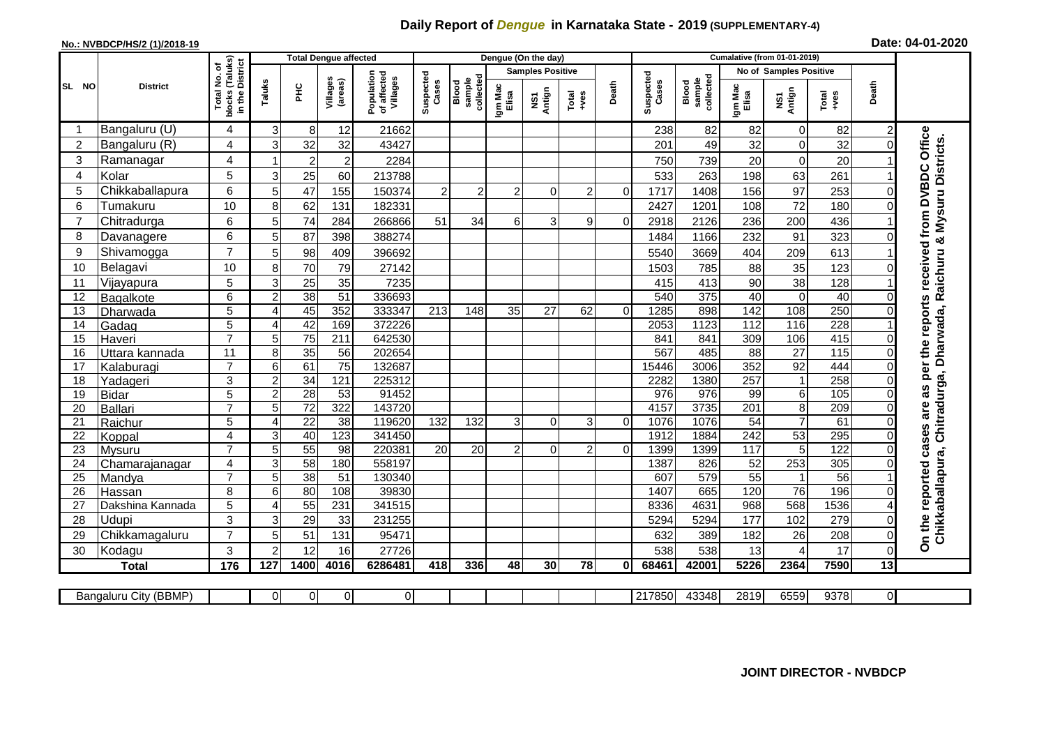## **Daily Report of** *Dengue* **in Karnataka State - 2019 (SUPPLEMENTARY-4)**

## **No.: NVBDCP/HS/2 (1)/2018-19 Date: 04-01-2020**

|                 | <b>District</b>       |                                               | <b>Total Dengue affected</b> |                       |                        |                                       |                    |                              |                         | Dengue (On the day) |                |              |                    |                              |                               |                 |               |                         |                                                                             |
|-----------------|-----------------------|-----------------------------------------------|------------------------------|-----------------------|------------------------|---------------------------------------|--------------------|------------------------------|-------------------------|---------------------|----------------|--------------|--------------------|------------------------------|-------------------------------|-----------------|---------------|-------------------------|-----------------------------------------------------------------------------|
| SL NO           |                       | (Taluks)<br>৳                                 |                              |                       |                        |                                       | Suspected<br>Cases | collected<br>sample<br>Blood | <b>Samples Positive</b> |                     |                |              |                    |                              | <b>No of Samples Positive</b> |                 |               |                         |                                                                             |
|                 |                       | in the District<br>Total No.<br><b>blocks</b> | Taluks                       | 운                     | Villages<br>(areas)    | Population<br>of affected<br>Villages |                    |                              | Igm Mac<br>Elisa        | Antign<br>ŠΣ        | Total<br>+ves  | Death        | Suspected<br>Cases | sample<br>collected<br>Blood | Igm Mac<br>Elisa              | NS1<br>Antign   | Total<br>+ves | Death                   |                                                                             |
|                 | Bangaluru (U)         | 4                                             | 3                            | 8                     | 12                     | 21662                                 |                    |                              |                         |                     |                |              | 238                | 82                           | 82                            | 0               | 82            | $\overline{\mathbf{c}}$ |                                                                             |
| $\overline{2}$  | Bangaluru (R)         | 4                                             | 3                            | 32                    | 32                     | 43427                                 |                    |                              |                         |                     |                |              | 201                | 49                           | 32                            | 0               | 32            |                         | Office                                                                      |
| 3               | Ramanagar             | 4                                             |                              | $\overline{2}$        | $\overline{2}$         | 2284                                  |                    |                              |                         |                     |                |              | 750                | 739                          | 20                            | $\Omega$        | 20            |                         |                                                                             |
| $\overline{A}$  | Kolar                 | 5                                             | 3                            | 25                    | 60                     | 213788                                |                    |                              |                         |                     |                |              | 533                | 263                          | 198                           | 63              | 261           |                         |                                                                             |
| 5               | Chikkaballapura       | 6                                             | 5                            | 47                    | 155                    | 150374                                | $\overline{c}$     | $\overline{c}$               | $\overline{2}$          | $\Omega$            | $\overline{c}$ | $\Omega$     | 1717               | 1408                         | 156                           | 97              | 253           |                         |                                                                             |
| 6               | Tumakuru              | 10                                            | 8                            | 62                    | 131                    | 182331                                |                    |                              |                         |                     |                |              | 2427               | 1201                         | 108                           | 72              | 180           |                         | from DVBDC                                                                  |
| $\overline{7}$  | Chitradurga           | 6                                             | 5                            | 74                    | 284                    | 266866                                | 51                 | 34                           | 6                       | 3                   | 9              | $\Omega$     | 2918               | 2126                         | 236                           | 200             | 436           |                         |                                                                             |
| 8               | Davanagere            | 6                                             | 5                            | 87                    | 398                    | 388274                                |                    |                              |                         |                     |                |              | 1484               | 1166                         | 232                           | 91              | 323           |                         |                                                                             |
| 9               | Shivamogga            | $\overline{7}$                                | 5                            | 98                    | 409                    | 396692                                |                    |                              |                         |                     |                |              | 5540               | 3669                         | 404                           | 209             | 613           |                         | received                                                                    |
| 10              | Belagavi              | 10                                            | 8                            | 70                    | 79                     | 27142                                 |                    |                              |                         |                     |                |              | 1503               | 785                          | 88                            | 35              | 123           |                         |                                                                             |
| 11              | Vijayapura            | 5                                             | 3                            | 25                    | 35                     | 7235                                  |                    |                              |                         |                     |                |              | 415                | 413                          | 90                            | 38              | 128           |                         |                                                                             |
| 12              | Bagalkote             | 6                                             | $\overline{2}$               | 38                    | $\overline{51}$        | 336693                                |                    |                              |                         |                     |                |              | 540                | 375                          | 40                            | $\Omega$        | 40            |                         |                                                                             |
| 13              | Dharwada              | 5                                             | 4                            | 45                    | 352                    | 333347                                | 213                | 148                          | 35                      | 27                  | 62             | $\Omega$     | 1285               | 898                          | $\overline{142}$              | 108             | 250           |                         | per the reports                                                             |
| 14              | Gadag                 | $\overline{5}$                                | $\overline{A}$               | 42                    | 169                    | 372226                                |                    |                              |                         |                     |                |              | 2053               | 1123                         | 112                           | 116             | 228           |                         |                                                                             |
| 15              | Haveri                | $\overline{7}$                                | 5                            | $\overline{75}$       | 211                    | 642530                                |                    |                              |                         |                     |                |              | 841                | 841                          | 309                           | 106             | 415           |                         |                                                                             |
| 16              | Uttara kannada        | 11                                            | 8 <sup>1</sup>               | $\overline{35}$       | 56                     | 202654                                |                    |                              |                         |                     |                |              | 567                | 485                          | $\overline{88}$               | $\overline{27}$ | 115           |                         |                                                                             |
| 17              | Kalaburagi            | $\overline{7}$                                | 6 <sup>1</sup>               | 61                    | $\overline{75}$        | 132687                                |                    |                              |                         |                     |                |              | 15446              | 3006                         | 352                           | 92              | 444           |                         |                                                                             |
| 18              | Yadageri              | 3                                             | $\overline{2}$               | $\overline{34}$       | 121                    | 225312                                |                    |                              |                         |                     |                |              | 2282               | 1380                         | 257                           | 1               | 258           |                         |                                                                             |
| 19              | <b>Bidar</b>          | $\overline{5}$                                | $\overline{2}$               | $\overline{28}$       | $\overline{53}$        | 91452                                 |                    |                              |                         |                     |                |              | 976                | 976                          | 99                            | 6               | 105           |                         | as                                                                          |
| 20              | Ballari               | $\overline{7}$                                | 5                            | $\overline{72}$       | 322                    | 143720                                |                    |                              |                         |                     |                |              | 4157               | 3735                         | 201                           | 8               | 209           |                         | are                                                                         |
| 21              | Raichur               | 5                                             | $\overline{4}$               | $\overline{22}$       | $\overline{38}$        | 119620                                | 132                | 132                          | 3                       | $\overline{0}$      | 3              | $\mathbf 0$  | 1076               | 1076                         | $\overline{54}$               | $\overline{7}$  | 61            |                         |                                                                             |
| $\overline{22}$ | Koppal                | $\overline{4}$<br>$\overline{7}$              | 3                            | 40                    | 123                    | 341450                                |                    |                              |                         |                     |                |              | 1912               | 1884                         | 242                           | 53              | 295           |                         | cases                                                                       |
| $\overline{23}$ | Mysuru                |                                               | 5                            | 55                    | 98                     | 220381                                | $\overline{20}$    | $\overline{20}$              | $\overline{c}$          | $\overline{0}$      | 2              | $\mathbf 0$  | 1399               | 1399                         | 117                           | 5               | 122           |                         |                                                                             |
| 24<br>25        | Chamarajanagar        | 4<br>$\overline{7}$                           | 3<br>5                       | 58<br>$\overline{38}$ | 180<br>$\overline{51}$ | 558197<br>130340                      |                    |                              |                         |                     |                |              | 1387<br>607        | 826<br>579                   | 52<br>55                      | 253             | 305<br>56     |                         |                                                                             |
| 26              | Mandya<br>Hassan      | 8                                             | 6                            | 80                    | 108                    | 39830                                 |                    |                              |                         |                     |                |              | 1407               | 665                          | 120                           | $\overline{76}$ | 196           |                         |                                                                             |
| 27              | Dakshina Kannada      | $\overline{5}$                                | $\Delta$                     | 55                    | 231                    | 341515                                |                    |                              |                         |                     |                |              | 8336               | 4631                         | 968                           | 568             | 1536          |                         | reported                                                                    |
| 28              | Udupi                 | 3                                             | 3                            | 29                    | 33                     | 231255                                |                    |                              |                         |                     |                |              | 5294               | 5294                         | 177                           | 102             | 279           | ი                       |                                                                             |
| 29              | Chikkamagaluru        | $\overline{7}$                                | 5                            | 51                    | 131                    | 95471                                 |                    |                              |                         |                     |                |              | 632                | 389                          | 182                           | 26              | 208           | 0                       | Chikkaballapura, Chitradurga, Dharwada, Raichuru & Mysuru Districts.<br>the |
| 30              | Kodagu                | 3                                             | $\overline{c}$               | 12                    | 16                     | 27726                                 |                    |                              |                         |                     |                |              | 538                | 538                          | 13                            | 4               | 17            | 0                       | င်္                                                                         |
|                 | <b>Total</b>          | 176                                           | 127                          | 1400                  | 4016                   | 6286481                               | 418                | 336                          | 48                      | 30                  | 78             | $\mathbf{0}$ | 68461              | 42001                        | 5226                          | 2364            | 7590          | $\overline{13}$         |                                                                             |
|                 |                       |                                               |                              |                       |                        |                                       |                    |                              |                         |                     |                |              |                    |                              |                               |                 |               |                         |                                                                             |
|                 | Bangaluru City (BBMP) |                                               | 01                           | 0                     | 0                      | $\overline{0}$                        |                    |                              |                         |                     |                |              | 217850             | 43348                        | 2819                          | 6559            | 9378          | $\overline{O}$          |                                                                             |